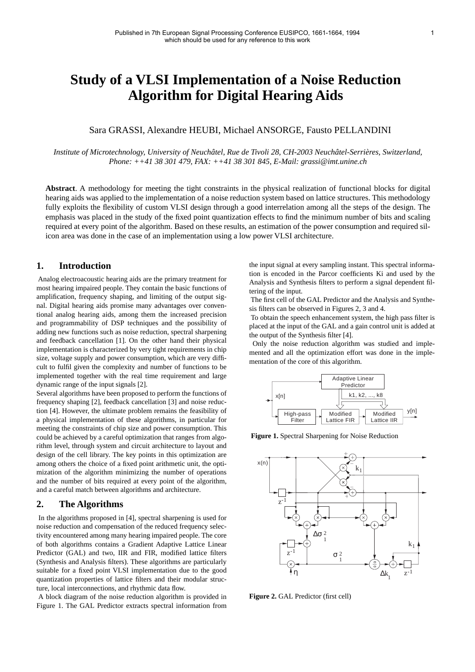# **Study of a VLSI Implementation of a Noise Reduction Algorithm for Digital Hearing Aids**

# Sara GRASSI, Alexandre HEUBI, Michael ANSORGE, Fausto PELLANDINI

*Institute of Microtechnology, University of Neuchâtel, Rue de Tivoli 28, CH-2003 Neuchâtel-Serrières, Switzerland, Phone: ++41 38 301 479, FAX: ++41 38 301 845, E-Mail: grassi@imt.unine.ch*

**Abstract**. A methodology for meeting the tight constraints in the physical realization of functional blocks for digital hearing aids was applied to the implementation of a noise reduction system based on lattice structures. This methodology fully exploits the flexibility of custom VLSI design through a good interrelation among all the steps of the design. The emphasis was placed in the study of the fixed point quantization effects to find the minimum number of bits and scaling required at every point of the algorithm. Based on these results, an estimation of the power consumption and required silicon area was done in the case of an implementation using a low power VLSI architecture.

# **1. Introduction**

Analog electroacoustic hearing aids are the primary treatment for most hearing impaired people. They contain the basic functions of amplification, frequency shaping, and limiting of the output signal. Digital hearing aids promise many advantages over conventional analog hearing aids, among them the increased precision and programmability of DSP techniques and the possibility of adding new functions such as noise reduction, spectral sharpening and feedback cancellation [1]. On the other hand their physical implementation is characterized by very tight requirements in chip size, voltage supply and power consumption, which are very difficult to fulfil given the complexity and number of functions to be implemented together with the real time requirement and large dynamic range of the input signals [2].

Several algorithms have been proposed to perform the functions of frequency shaping [2], feedback cancellation [3] and noise reduction [4]. However, the ultimate problem remains the feasibility of a physical implementation of these algorithms, in particular for meeting the constraints of chip size and power consumption. This could be achieved by a careful optimization that ranges from algorithm level, through system and circuit architecture to layout and design of the cell library. The key points in this optimization are among others the choice of a fixed point arithmetic unit, the optimization of the algorithm minimizing the number of operations and the number of bits required at every point of the algorithm, and a careful match between algorithms and architecture.

## **2. The Algorithms**

 In the algorithms proposed in [4], spectral sharpening is used for noise reduction and compensation of the reduced frequency selectivity encountered among many hearing impaired people. The core of both algorithms contains a Gradient Adaptive Lattice Linear Predictor (GAL) and two, IIR and FIR, modified lattice filters (Synthesis and Analysis filters). These algorithms are particularly suitable for a fixed point VLSI implementation due to the good quantization properties of lattice filters and their modular structure, local interconnections, and rhythmic data flow.

A block diagram of the noise reduction algorithm is provided in Figure 1. The GAL Predictor extracts spectral information from the input signal at every sampling instant. This spectral information is encoded in the Parcor coefficients Ki and used by the Analysis and Synthesis filters to perform a signal dependent filtering of the input.

The first cell of the GAL Predictor and the Analysis and Synthesis filters can be observed in Figures 2, 3 and 4.

To obtain the speech enhancement system, the high pass filter is placed at the input of the GAL and a gain control unit is added at the output of the Synthesis filter [4].

 Only the noise reduction algorithm was studied and implemented and all the optimization effort was done in the implementation of the core of this algorithm.



**Figure 1.** Spectral Sharpening for Noise Reduction



**Figure 2.** GAL Predictor (first cell)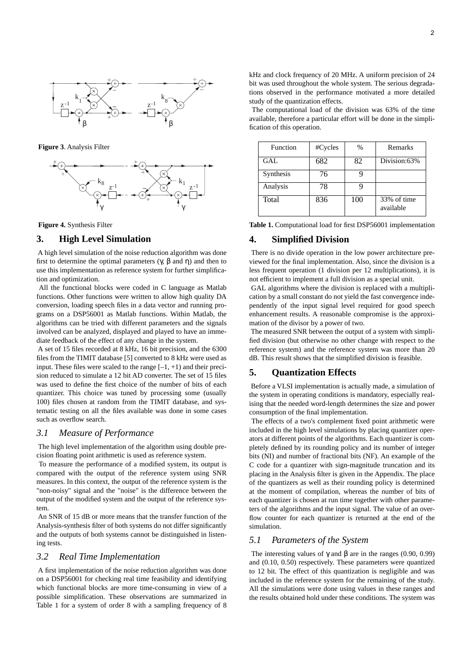

**Figure 3**. Analysis Filter



**Figure 4.** Synthesis Filter

### **3. High Level Simulation**

 A high level simulation of the noise reduction algorithm was done first to determine the optimal parameters  $(γ, β$  and  $η)$  and then to use this implementation as reference system for further simplification and optimization.

 All the functional blocks were coded in C language as Matlab functions. Other functions were written to allow high quality DA conversion, loading speech files in a data vector and running programs on a DSP56001 as Matlab functions. Within Matlab, the algorithms can be tried with different parameters and the signals involved can be analyzed, displayed and played to have an immediate feedback of the effect of any change in the system.

 A set of 15 files recorded at 8 kHz, 16 bit precision, and the 6300 files from the TIMIT database [5] converted to 8 kHz were used as input. These files were scaled to the range  $[-1, +1)$  and their precision reduced to simulate a 12 bit AD converter. The set of 15 files was used to define the first choice of the number of bits of each quantizer. This choice was tuned by processing some (usually 100) files chosen at random from the TIMIT database, and systematic testing on all the files available was done in some cases such as overflow search.

# *3.1 Measure of Performance*

 The high level implementation of the algorithm using double precision floating point arithmetic is used as reference system.

 To measure the performance of a modified system, its output is compared with the output of the reference system using SNR measures. In this context, the output of the reference system is the "non-noisy" signal and the "noise" is the difference between the output of the modified system and the output of the reference system.

 An SNR of 15 dB or more means that the transfer function of the Analysis-synthesis filter of both systems do not differ significantly and the outputs of both systems cannot be distinguished in listening tests.

### *3.2 Real Time Implementation*

 A first implementation of the noise reduction algorithm was done on a DSP56001 for checking real time feasibility and identifying which functional blocks are more time-consuming in view of a possible simplification. These observations are summarized in Table 1 for a system of order 8 with a sampling frequency of 8

kHz and clock frequency of 20 MHz. A uniform precision of 24 bit was used throughout the whole system. The serious degradations observed in the performance motivated a more detailed study of the quantization effects.

 The computational load of the division was 63% of the time available, therefore a particular effort will be done in the simplification of this operation.

| Function  | #Cycles | %   | Remarks                  |
|-----------|---------|-----|--------------------------|
| GAL       | 682     | 82  | Division:63%             |
| Synthesis | 76      |     |                          |
| Analysis  | 78      |     |                          |
| Total     | 836     | 100 | 33% of time<br>available |

**Table 1.** Computational load for first DSP56001 implementation

### **4. Simplified Division**

 There is no divide operation in the low power architecture previewed for the final implementation. Also, since the division is a less frequent operation (1 division per 12 multiplications), it is not efficient to implement a full division as a special unit.

 GAL algorithms where the division is replaced with a multiplication by a small constant do not yield the fast convergence independently of the input signal level required for good speech enhancement results. A reasonable compromise is the approximation of the divisor by a power of two.

 The measured SNR between the output of a system with simplified division (but otherwise no other change with respect to the reference system) and the reference system was more than 20 dB. This result shows that the simplified division is feasible.

# **5. Quantization Effects**

 Before a VLSI implementation is actually made, a simulation of the system in operating conditions is mandatory, especially realising that the needed word-length determines the size and power consumption of the final implementation.

 The effects of a two's complement fixed point arithmetic were included in the high level simulations by placing quantizer operators at different points of the algorithms. Each quantizer is completely defined by its rounding policy and its number of integer bits (NI) and number of fractional bits (NF). An example of the C code for a quantizer with sign-magnitude truncation and its placing in the Analysis filter is given in the Appendix. The place of the quantizers as well as their rounding policy is determined at the moment of compilation, whereas the number of bits of each quantizer is chosen at run time together with other parameters of the algorithms and the input signal. The value of an overflow counter for each quantizer is returned at the end of the simulation.

# *5.1 Parameters of the System*

The interesting values of  $\gamma$  and  $\beta$  are in the ranges (0.90, 0.99) and (0.10, 0.50) respectively. These parameters were quantized to 12 bit. The effect of this quantization is negligible and was included in the reference system for the remaining of the study. All the simulations were done using values in these ranges and the results obtained hold under these conditions. The system was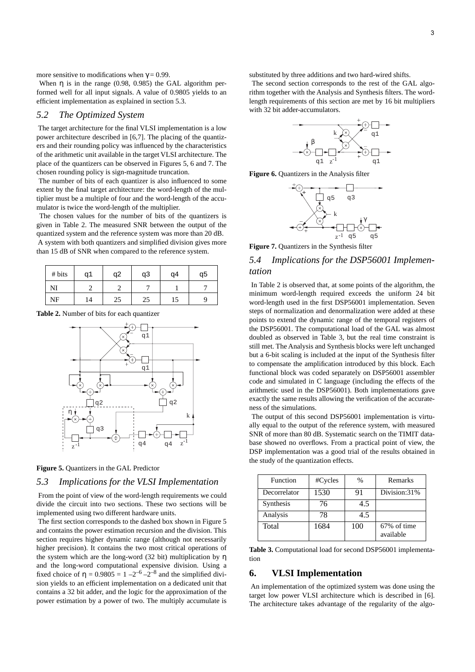more sensitive to modifications when  $\gamma = 0.99$ .

When  $\eta$  is in the range (0.98, 0.985) the GAL algorithm performed well for all input signals. A value of 0.9805 yields to an efficient implementation as explained in section 5.3.

# *5.2 The Optimized System*

 The target architecture for the final VLSI implementation is a low power architecture described in [6,7]. The placing of the quantizers and their rounding policy was influenced by the characteristics of the arithmetic unit available in the target VLSI architecture. The place of the quantizers can be observed in Figures 5, 6 and 7. The chosen rounding policy is sign-magnitude truncation.

 The number of bits of each quantizer is also influenced to some extent by the final target architecture: the word-length of the multiplier must be a multiple of four and the word-length of the accumulator is twice the word-length of the multiplier.

 The chosen values for the number of bits of the quantizers is given in Table 2. The measured SNR between the output of the quantized system and the reference system was more than 20 dB. A system with both quantizers and simplified division gives more

than 15 dB of SNR when compared to the reference system.

| # bits | q1 | q2 | q3 | q4 | q5 |
|--------|----|----|----|----|----|
| NI     |    |    |    |    |    |
| NF     | 14 | 25 | 25 | 15 |    |

**Table 2.** Number of bits for each quantizer



**Figure 5.** Ouantizers in the GAL Predictor

## *5.3 Implications for the VLSI Implementation*

 From the point of view of the word-length requirements we could divide the circuit into two sections. These two sections will be implemented using two different hardware units.

 The first section corresponds to the dashed box shown in Figure 5 and contains the power estimation recursion and the division. This section requires higher dynamic range (although not necessarily higher precision). It contains the two most critical operations of the system which are the long-word (32 bit) multiplication by η and the long-word computational expensive division. Using a fixed choice of  $\eta = 0.9805 = 1 - 2^{-6} - 2^{-8}$  and the simplified division yields to an efficient implementation on a dedicated unit that contains a 32 bit adder, and the logic for the approximation of the power estimation by a power of two. The multiply accumulate is

substituted by three additions and two hard-wired shifts.

 The second section corresponds to the rest of the GAL algorithm together with the Analysis and Synthesis filters. The wordlength requirements of this section are met by 16 bit multipliers with 32 bit adder-accumulators.





k z-1 γ q3 q5 q5  $\alpha$ 

**Figure 7.** Quantizers in the Synthesis filter

# *5.4 Implications for the DSP56001 Implementation*

 In Table 2 is observed that, at some points of the algorithm, the minimum word-length required exceeds the uniform 24 bit word-length used in the first DSP56001 implementation. Seven steps of normalization and denormalization were added at these points to extend the dynamic range of the temporal registers of the DSP56001. The computational load of the GAL was almost doubled as observed in Table 3, but the real time constraint is still met. The Analysis and Synthesis blocks were left unchanged but a 6-bit scaling is included at the input of the Synthesis filter to compensate the amplification introduced by this block. Each functional block was coded separately on DSP56001 assembler code and simulated in C language (including the effects of the arithmetic used in the DSP56001). Both implementations gave exactly the same results allowing the verification of the accurateness of the simulations.

 The output of this second DSP56001 implementation is virtually equal to the output of the reference system, with measured SNR of more than 80 dB. Systematic search on the TIMIT database showed no overflows. From a practical point of view, the DSP implementation was a good trial of the results obtained in the study of the quantization effects.

| <b>Function</b> | #Cycles | $\%$ | Remarks                  |
|-----------------|---------|------|--------------------------|
| Decorrelator    | 1530    | 91   | Division:31%             |
| Synthesis       | 76      | 4.5  |                          |
| Analysis        | 78      | 4.5  |                          |
| Total           | 1684    | 100  | 67% of time<br>available |

**Table 3.** Computational load for second DSP56001 implementation

### **6. VLSI Implementation**

 An implementation of the optimized system was done using the target low power VLSI architecture which is described in [6]. The architecture takes advantage of the regularity of the algo